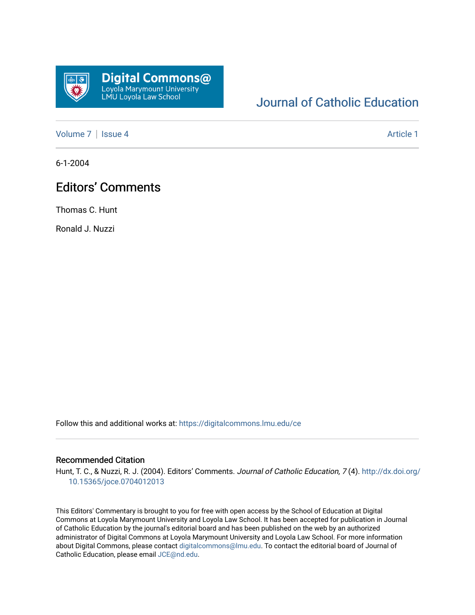

## [Journal of Catholic Education](https://digitalcommons.lmu.edu/ce)

[Volume 7](https://digitalcommons.lmu.edu/ce/vol7) | [Issue 4](https://digitalcommons.lmu.edu/ce/vol7/iss4) Article 1

6-1-2004

## Editors' Comments

Thomas C. Hunt

Ronald J. Nuzzi

Follow this and additional works at: [https://digitalcommons.lmu.edu/ce](https://digitalcommons.lmu.edu/ce?utm_source=digitalcommons.lmu.edu%2Fce%2Fvol7%2Fiss4%2F1&utm_medium=PDF&utm_campaign=PDFCoverPages)

## Recommended Citation

Hunt, T. C., & Nuzzi, R. J. (2004). Editors' Comments. Journal of Catholic Education, 7(4). [http://dx.doi.org/](http://dx.doi.org/10.15365/joce.0704012013) [10.15365/joce.0704012013](http://dx.doi.org/10.15365/joce.0704012013) 

This Editors' Commentary is brought to you for free with open access by the School of Education at Digital Commons at Loyola Marymount University and Loyola Law School. It has been accepted for publication in Journal of Catholic Education by the journal's editorial board and has been published on the web by an authorized administrator of Digital Commons at Loyola Marymount University and Loyola Law School. For more information about Digital Commons, please contact [digitalcommons@lmu.edu](mailto:digitalcommons@lmu.edu). To contact the editorial board of Journal of Catholic Education, please email [JCE@nd.edu.](mailto:JCE@nd.edu)